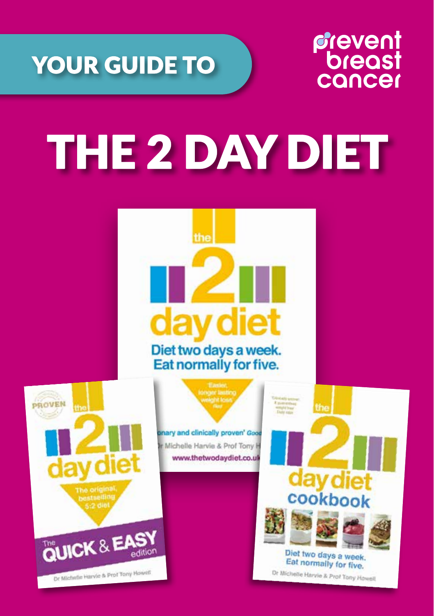

## *frevent*<br>breast cancer

# THE 2 DAY DIET

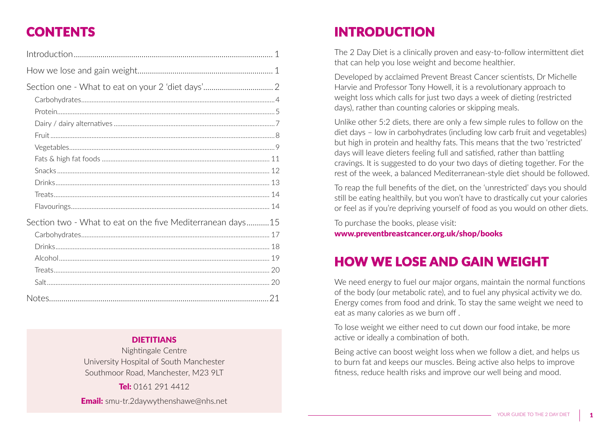## **CONTENTS**

| Section two - What to eat on the five Mediterranean days 15 |  |
|-------------------------------------------------------------|--|
|                                                             |  |
|                                                             |  |
|                                                             |  |
|                                                             |  |
|                                                             |  |
|                                                             |  |
|                                                             |  |

### **DIETITIANS**

Nightingale Centre University Hospital of South Manchester Southmoor Road, Manchester, M23 9LT

Tel: 0161 291 4412 **Email:** smu-tr.2daywythenshawe@nhs.net

## INTRODUCTION

The 2 Day Diet is a clinically proven and easy-to-follow intermittent diet that can help you lose weight and become healthier.

Developed by acclaimed Prevent Breast Cancer scientists, Dr Michelle Harvie and Professor Tony Howell, it is a revolutionary approach to weight loss which calls for just two days a week of dieting (restricted days), rather than counting calories or skipping meals.

Unlike other 5:2 diets, there are only a few simple rules to follow on the diet days – low in carbohydrates (including low carb fruit and vegetables) but high in protein and healthy fats. This means that the two 'restricted' days will leave dieters feeling full and satisfied, rather than battling cravings. It is suggested to do your two days of dieting together. For the rest of the week, a balanced Mediterranean-style diet should be followed.

To reap the full benefits of the diet, on the 'unrestricted' days you should still be eating healthily, but you won't have to drastically cut your calories or feel as if you're depriving yourself of food as you would on other diets.

To purchase the books, please visit:

www.preventbreastcancer.org.uk/shop/books

### HOW WE LOSE AND GAIN WEIGHT

We need energy to fuel our major organs, maintain the normal functions of the body (our metabolic rate), and to fuel any physical activity we do. Energy comes from food and drink. To stay the same weight we need to eat as many calories as we burn off .

To lose weight we either need to cut down our food intake, be more active or ideally a combination of both.

Being active can boost weight loss when we follow a diet, and helps us to burn fat and keeps our muscles. Being active also helps to improve fitness, reduce health risks and improve our well being and mood.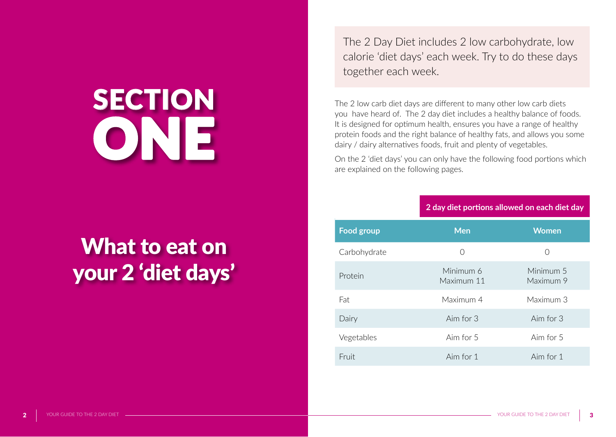# **SECTION** ONE

## What to eat on your 2 'diet days'

The 2 Day Diet includes 2 low carbohydrate, low calorie 'diet days' each week. Try to do these days together each week.

The 2 low carb diet days are different to many other low carb diets you have heard of. The 2 day diet includes a healthy balance of foods. It is designed for optimum health, ensures you have a range of healthy protein foods and the right balance of healthy fats, and allows you some dairy / dairy alternatives foods, fruit and plenty of vegetables.

On the 2 'diet days' you can only have the following food portions which are explained on the following pages.

| 2 day diet portions allowed on each diet day |                        |
|----------------------------------------------|------------------------|
| <b>Men</b>                                   | <b>Women</b>           |
| O                                            | $\left( \ \right)$     |
| Minimum 6<br>Maximum 11                      | Minimum 5<br>Maximum 9 |
| Maximum 4                                    | Maximum 3              |
| Aim for 3                                    | Aim for 3              |
| Aim for 5                                    | Aim for 5              |
| Aim for 1                                    | Aim for 1              |
|                                              |                        |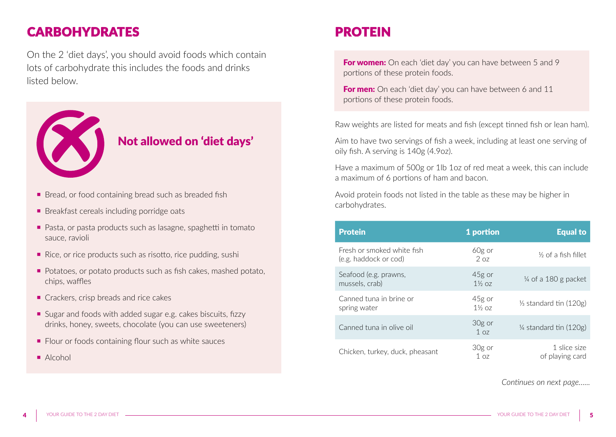### **CARBOHYDRATES**

On the 2 'diet days', you should avoid foods which contain lots of carbohydrate this includes the foods and drinks listed below.



### Not allowed on 'diet days'

- Bread, or food containing bread such as breaded fish
- Breakfast cereals including porridge oats
- Pasta, or pasta products such as lasagne, spaghetti in tomato sauce, ravioli
- Rice, or rice products such as risotto, rice pudding, sushi
- Potatoes, or potato products such as fish cakes, mashed potato, chips, waffles
- Crackers, crisp breads and rice cakes
- Sugar and foods with added sugar e.g. cakes biscuits, fizzy drinks, honey, sweets, chocolate (you can use sweeteners)
- Flour or foods containing flour such as white sauces
- Alcohol

## PROTEIN

For women: On each 'diet day' you can have between 5 and 9 portions of these protein foods.

For men: On each 'diet day' you can have between 6 and 11 portions of these protein foods.

Raw weights are listed for meats and fish (except tinned fish or lean ham).

Aim to have two servings of fish a week, including at least one serving of oily fish. A serving is 140g (4.9oz).

Have a maximum of 500g or 1lb 1oz of red meat a week, this can include a maximum of 6 portions of ham and bacon.

Avoid protein foods not listed in the table as these may be higher in carbohydrates.

| <b>Protein</b>                                      | 1 portion                   | <b>Equal to</b>                   |
|-----------------------------------------------------|-----------------------------|-----------------------------------|
| Fresh or smoked white fish<br>(e.g. haddock or cod) | 60g or<br>207               | $\frac{1}{2}$ of a fish fillet    |
| Seafood (e.g. prawns,<br>mussels, crab)             | 45g or<br>$1\frac{1}{2}$ 07 | $\frac{1}{4}$ of a 180 g packet   |
| Canned tuna in brine or<br>spring water             | 45g or<br>$1\frac{1}{2}$ 07 | $\frac{1}{3}$ standard tin (120g) |
| Canned tuna in olive oil                            | 30g or<br>1 <sub>07</sub>   | $\frac{1}{4}$ standard tin (120g) |
| Chicken, turkey, duck, pheasant                     | 30g or<br>1 <sub>07</sub>   | 1 slice size<br>of playing card   |

*Continues on next page…...*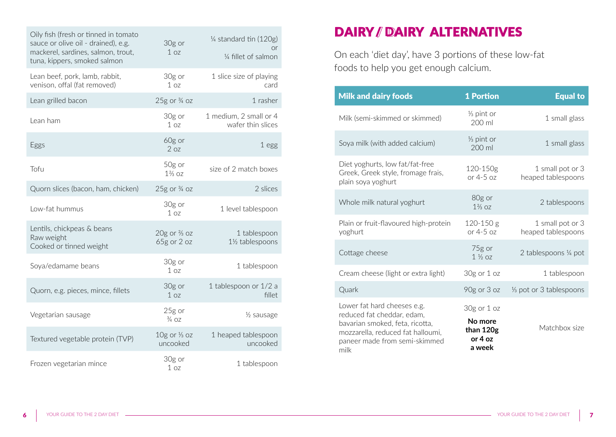| Oily fish (fresh or tinned in tomato<br>sauce or olive oil - drained), e.g.<br>mackerel, sardines, salmon, trout,<br>tuna, kippers, smoked salmon | 30g or<br>1 <sub>07</sub>                | 1/4 standard tin (120g)<br>or<br>1/4 fillet of salmon |
|---------------------------------------------------------------------------------------------------------------------------------------------------|------------------------------------------|-------------------------------------------------------|
| Lean beef, pork, lamb, rabbit,<br>venison, offal (fat removed)                                                                                    | 30g or<br>1 <sub>oz</sub>                | 1 slice size of playing<br>card                       |
| Lean grilled bacon                                                                                                                                | $25g$ or $\frac{3}{4}$ oz                | 1 rasher                                              |
| Lean ham                                                                                                                                          | 30g or<br>1 <sub>07</sub>                | 1 medium, 2 small or 4<br>wafer thin slices           |
| Eggs                                                                                                                                              | 60g or<br>2 oz                           | 1 egg                                                 |
| Tofu                                                                                                                                              | 50g or<br>$1\frac{2}{3}$ oz              | size of 2 match boxes                                 |
| Quorn slices (bacon, ham, chicken)                                                                                                                | $25g$ or $\frac{3}{4}$ oz                | 2 slices                                              |
| Low-fat hummus                                                                                                                                    | 30g or<br>1 <sub>07</sub>                | 1 level tablespoon                                    |
| Lentils, chickpeas & beans<br>Raw weight<br>Cooked or tinned weight                                                                               | $20g$ or $\frac{2}{3}$ oz<br>65g or 2 oz | 1 tablespoon<br>1½ tablespoons                        |
| Soya/edamame beans                                                                                                                                | 30g or<br>1 oz                           | 1 tablespoon                                          |
| Quorn, e.g. pieces, mince, fillets                                                                                                                | 30g or<br>1 <sub>oz</sub>                | 1 tablespoon or 1/2 a<br>fillet                       |
| Vegetarian sausage                                                                                                                                | 25g or<br>$\frac{3}{4}$ 07               | 1/ <sub>2</sub> sausage                               |
| Textured vegetable protein (TVP)                                                                                                                  | $10g$ or $\frac{1}{3}$ oz<br>uncooked    | 1 heaped tablespoon<br>uncooked                       |
| Frozen vegetarian mince                                                                                                                           | 30g or<br>1 <sub>oz</sub>                | 1 tablespoon                                          |

## DAIRY / DAIRY ALTERNATIVES

On each 'diet day', have 3 portions of these low-fat foods to help you get enough calcium.

| <b>Milk and dairy foods</b>                                                                                                                                                | <b>1 Portion</b>                                            | <b>Equal to</b>                        |
|----------------------------------------------------------------------------------------------------------------------------------------------------------------------------|-------------------------------------------------------------|----------------------------------------|
| Milk (semi-skimmed or skimmed)                                                                                                                                             | 1/ <sub>3</sub> pint or<br>200 ml                           | 1 small glass                          |
| Soya milk (with added calcium)                                                                                                                                             | 1/ <sub>3</sub> pint or<br>200 ml                           | 1 small glass                          |
| Diet yoghurts, low fat/fat-free<br>Greek, Greek style, fromage frais,<br>plain soya yoghurt                                                                                | 120-150g<br>or $4-5$ oz                                     | 1 small pot or 3<br>heaped tablespoons |
| Whole milk natural yoghurt                                                                                                                                                 | 80g or<br>$1\frac{2}{3}$ 07                                 | 2 tablespoons                          |
| Plain or fruit-flavoured high-protein<br>yoghurt                                                                                                                           | $120-150$ g<br>or $4-5$ oz                                  | 1 small pot or 3<br>heaped tablespoons |
| Cottage cheese                                                                                                                                                             | 75g or<br>$1\frac{1}{2}$ 07                                 | 2 tablespoons 1/4 pot                  |
| Cream cheese (light or extra light)                                                                                                                                        | 30g or 1 oz                                                 | 1 tablespoon                           |
| Quark                                                                                                                                                                      | 90g or 3 oz                                                 | 1/ <sub>3</sub> pot or 3 tablespoons   |
| Lower fat hard cheeses e.g.<br>reduced fat cheddar, edam,<br>bavarian smoked, feta, ricotta,<br>mozzarella, reduced fat halloumi,<br>paneer made from semi-skimmed<br>milk | $30g$ or $1oz$<br>No more<br>than 120g<br>or 4 oz<br>a week | Matchbox size                          |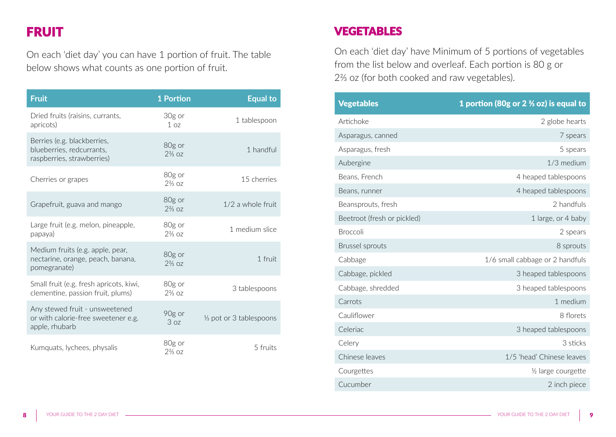### FRUIT

On each 'diet day' you can have 1 portion of fruit. The table below shows what counts as one portion of fruit.

| <b>Fruit</b>                                                                            | 1 Portion                   | <b>Equal to</b>                      |
|-----------------------------------------------------------------------------------------|-----------------------------|--------------------------------------|
| Dried fruits (raisins, currants,<br>apricots)                                           | 30g or<br>1 <sub>07</sub>   | 1 tablespoon                         |
| Berries (e.g. blackberries,<br>blueberries, redcurrants,<br>raspberries, strawberries)  | 80g or<br>$2\frac{2}{3}$ oz | 1 handful                            |
| Cherries or grapes                                                                      | 80g or<br>$2\frac{2}{3}$ 07 | 15 cherries                          |
| Grapefruit, guava and mango                                                             | 80g or<br>$2\frac{2}{3}$ oz | $1/2$ a whole fruit                  |
| Large fruit (e.g. melon, pineapple,<br>papaya)                                          | 80g or<br>$2\frac{2}{3}$ oz | 1 medium slice                       |
| Medium fruits (e.g. apple, pear,<br>nectarine, orange, peach, banana,<br>pomegranate)   | 80g or<br>$2\frac{2}{3}$ oz | 1 fruit                              |
| Small fruit (e.g. fresh apricots, kiwi,<br>clementine, passion fruit, plums)            | 80g or<br>$2\frac{2}{3}$ 07 | 3 tablespoons                        |
| Any stewed fruit - unsweetened<br>or with calorie-free sweetener e.g.<br>apple, rhubarb | 90g or<br>3 oz              | 1/ <sub>3</sub> pot or 3 tablespoons |
| Kumquats, lychees, physalis                                                             | 80g or<br>$2\frac{2}{3}$ oz | 5 fruits                             |

### VEGETABLES

On each 'diet day' have Minimum of 5 portions of vegetables from the list below and overleaf. Each portion is 80 g or 2⅔ oz (for both cooked and raw vegetables).

| <b>Vegetables</b>           | 1 portion (80g or $2\frac{2}{3}$ oz) is equal to |
|-----------------------------|--------------------------------------------------|
| Artichoke                   | 2 globe hearts                                   |
| Asparagus, canned           | 7 spears                                         |
| Asparagus, fresh            | 5 spears                                         |
| Aubergine                   | 1/3 medium                                       |
| Beans, French               | 4 heaped tablespoons                             |
| Beans, runner               | 4 heaped tablespoons                             |
| Beansprouts, fresh          | 2 handfuls                                       |
| Beetroot (fresh or pickled) | 1 large, or 4 baby                               |
| <b>Broccoli</b>             | 2 spears                                         |
| <b>Brussel sprouts</b>      | 8 sprouts                                        |
| Cabbage                     | 1/6 small cabbage or 2 handfuls                  |
| Cabbage, pickled            | 3 heaped tablespoons                             |
| Cabbage, shredded           | 3 heaped tablespoons                             |
| Carrots                     | 1 medium                                         |
| Cauliflower                 | 8 florets                                        |
| Celeriac                    | 3 heaped tablespoons                             |
| Celery                      | 3 sticks                                         |
| Chinese leaves              | 1/5 'head' Chinese leaves                        |
| Courgettes                  | 1/2 large courgette                              |
| Cucumber                    | 2 inch piece                                     |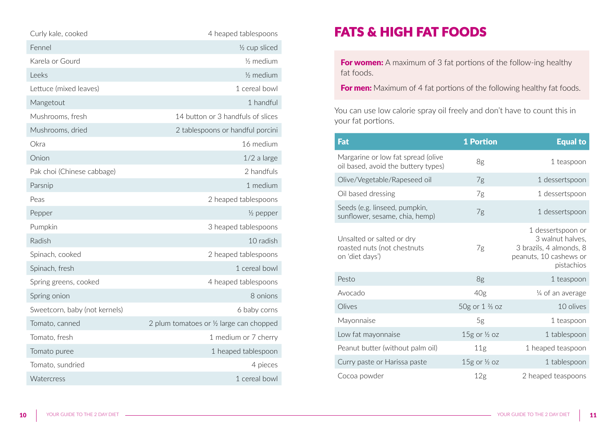| Curly kale, cooked            | 4 heaped tablespoons                     |
|-------------------------------|------------------------------------------|
| Fennel                        | 1/ <sub>2</sub> cup sliced               |
| Karela or Gourd               | $\frac{1}{2}$ medium                     |
| Leeks                         | $\frac{1}{2}$ medium                     |
| Lettuce (mixed leaves)        | 1 cereal bowl                            |
| Mangetout                     | 1 handful                                |
| Mushrooms, fresh              | 14 button or 3 handfuls of slices        |
| Mushrooms, dried              | 2 tablespoons or handful porcini         |
| Okra                          | 16 medium                                |
| Onion                         | $1/2$ a large                            |
| Pak choi (Chinese cabbage)    | 2 handfuls                               |
| Parsnip                       | 1 medium                                 |
| Peas                          | 2 heaped tablespoons                     |
| Pepper                        | $\frac{1}{2}$ pepper                     |
| Pumpkin                       | 3 heaped tablespoons                     |
| Radish                        | 10 radish                                |
| Spinach, cooked               | 2 heaped tablespoons                     |
| Spinach, fresh                | 1 cereal bowl                            |
| Spring greens, cooked         | 4 heaped tablespoons                     |
| Spring onion                  | 8 onions                                 |
| Sweetcorn, baby (not kernels) | 6 baby corns                             |
| Tomato, canned                | 2 plum tomatoes or 1/2 large can chopped |
| Tomato, fresh                 | 1 medium or 7 cherry                     |
| Tomato puree                  | 1 heaped tablespoon                      |
| Tomato, sundried              | 4 pieces                                 |
| Watercress                    | 1 cereal bowl                            |

### FATS & HIGH FAT FOODS

For women: A maximum of 3 fat portions of the follow-ing healthy fat foods.

For men: Maximum of 4 fat portions of the following healthy fat foods.

You can use low calorie spray oil freely and don't have to count this in your fat portions.

| Fat                                                                         | <b>1 Portion</b>          | <b>Equal to</b>                                                                                          |
|-----------------------------------------------------------------------------|---------------------------|----------------------------------------------------------------------------------------------------------|
| Margarine or low fat spread (olive<br>oil based, avoid the buttery types)   | 8g                        | 1 teaspoon                                                                                               |
| Olive/Vegetable/Rapeseed oil                                                | 7g                        | 1 dessertspoon                                                                                           |
| Oil based dressing                                                          | 7g                        | 1 dessertspoon                                                                                           |
| Seeds (e.g. linseed, pumpkin,<br>sunflower, sesame, chia, hemp)             | 7g                        | 1 dessertspoon                                                                                           |
| Unsalted or salted or dry<br>roasted nuts (not chestnuts<br>on 'diet days') | 7g                        | 1 dessertspoon or<br>3 walnut halves,<br>3 brazils, 4 almonds, 8<br>peanuts, 10 cashews or<br>pistachios |
| Pesto                                                                       | 8g                        | 1 teaspoon                                                                                               |
| Avocado                                                                     | 40g                       | 1/4 of an average                                                                                        |
| Olives                                                                      | 50g or 1 % oz             | 10 olives                                                                                                |
| Mayonnaise                                                                  | 5g                        | 1 teaspoon                                                                                               |
| Low fat mayonnaise                                                          | $15g$ or $\frac{1}{2}$ oz | 1 tablespoon                                                                                             |
| Peanut butter (without palm oil)                                            | 11g                       | 1 heaped teaspoon                                                                                        |
| Curry paste or Harissa paste                                                | $15g$ or $\frac{1}{2}$ oz | 1 tablespoon                                                                                             |
| Cocoa powder                                                                | 12 <sub>g</sub>           | 2 heaped teaspoons                                                                                       |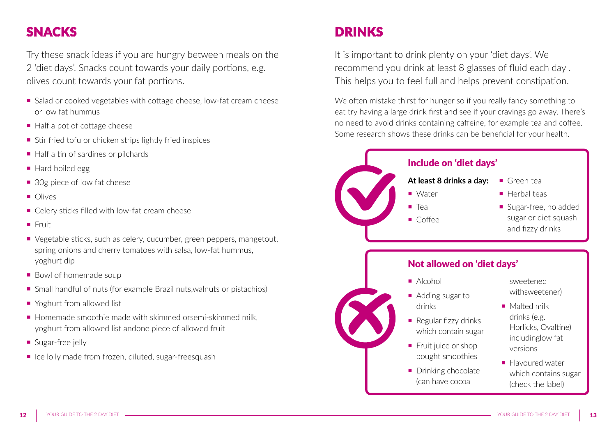## SNACKS

Try these snack ideas if you are hungry between meals on the 2 'diet days'. Snacks count towards your daily portions, e.g. olives count towards your fat portions.

- Salad or cooked vegetables with cottage cheese, low-fat cream cheese or low fat hummus
- Half a pot of cottage cheese
- $\blacksquare$  Stir fried tofu or chicken strips lightly fried inspices
- Half a tin of sardines or pilchards
- Hard boiled egg
- 30g piece of low fat cheese
- Olives
- Celery sticks filled with low-fat cream cheese
- ¡ Fruit
- Vegetable sticks, such as celery, cucumber, green peppers, mangetout, spring onions and cherry tomatoes with salsa, low-fat hummus, yoghurt dip
- Bowl of homemade soup
- Small handful of nuts (for example Brazil nuts, walnuts or pistachios)
- Yoghurt from allowed list
- $\blacksquare$  Homemade smoothie made with skimmed orsemi-skimmed milk yoghurt from allowed list andone piece of allowed fruit
- **Sugar-free jelly**
- Ice lolly made from frozen, diluted, sugar-freesquash

## DRINKS

It is important to drink plenty on your 'diet days'. We recommend you drink at least 8 glasses of fluid each day . This helps you to feel full and helps prevent constipation.

We often mistake thirst for hunger so if you really fancy something to eat try having a large drink first and see if your cravings go away. There's no need to avoid drinks containing caffeine, for example tea and coffee. Some research shows these drinks can be beneficial for your health.

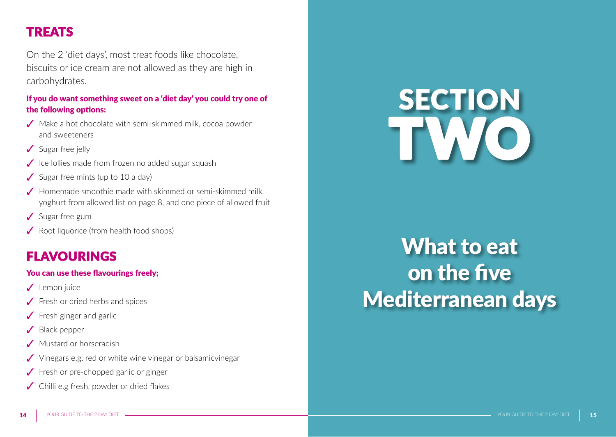### TREATS

On the 2 'diet days', most treat foods like chocolate, biscuits or ice cream are not allowed as they are high in carbohydrates.

### If you do want something sweet on a 'diet day' you could try one of the following options:

- ✓ Make a hot chocolate with semi-skimmed milk, cocoa powder and sweeteners
- ✓ Sugar free jelly
- ✓ Ice lollies made from frozen no added sugar squash
- $\checkmark$  Sugar free mints (up to 10 a day)
- ✓ Homemade smoothie made with skimmed or semi-skimmed milk, yoghurt from allowed list on page 8, and one piece of allowed fruit
- ✓ Sugar free gum
- ✓ Root liquorice (from health food shops)

### FLAVOURINGS

### You can use these flavourings freely;

- ✓ Lemon juice
- ✓ Fresh or dried herbs and spices
- $\sqrt{\ }$  Fresh ginger and garlic
- ✓ Black pepper
- Mustard or horseradish
- ✓ Vinegars e.g. red or white wine vinegar or balsamicvinegar
- ✓ Fresh or pre-chopped garlic or ginger
- ✓ Chilli e.g fresh, powder or dried flakes

# **SECTION** TWO

## What to eat on the five Mediterranean days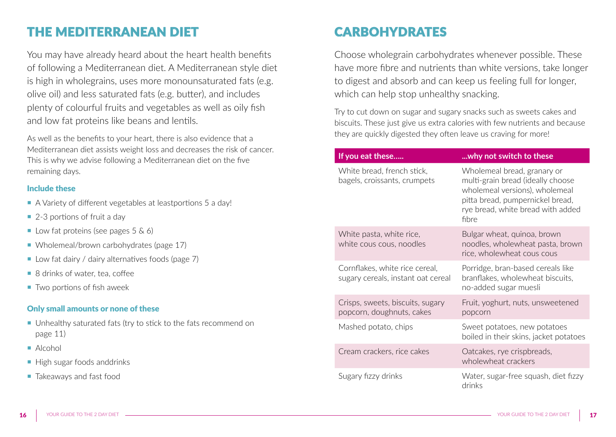### THE MEDITERRANEAN DIET

You may have already heard about the heart health benefits of following a Mediterranean diet. A Mediterranean style diet is high in wholegrains, uses more monounsaturated fats (e.g. olive oil) and less saturated fats (e.g. butter), and includes plenty of colourful fruits and vegetables as well as oily fish and low fat proteins like beans and lentils.

As well as the benefits to your heart, there is also evidence that a Mediterranean diet assists weight loss and decreases the risk of cancer. This is why we advise following a Mediterranean diet on the five remaining days.

#### Include these

- ¡ A Variety of different vegetables at leastportions 5 a day!
- $\blacksquare$  2-3 portions of fruit a day
- Low fat proteins (see pages  $5 \& 6$ )
- Wholemeal/brown carbohydrates (page 17)
- Low fat dairy / dairy alternatives foods (page 7)
- 8 drinks of water, tea, coffee
- $\blacksquare$  Two portions of fish aweek

### Only small amounts or none of these

- ¡ Unhealthy saturated fats (try to stick to the fats recommend on page 11)
- Alcohol
- High sugar foods anddrinks
- **Takeaways and fast food**

## CARBOHYDRATES

Choose wholegrain carbohydrates whenever possible. These have more fibre and nutrients than white versions, take longer to digest and absorb and can keep us feeling full for longer, which can help stop unhealthy snacking.

Try to cut down on sugar and sugary snacks such as sweets cakes and biscuits. These just give us extra calories with few nutrients and because they are quickly digested they often leave us craving for more!

| If you eat these                                                     | why not switch to these                                                                                                                                                              |
|----------------------------------------------------------------------|--------------------------------------------------------------------------------------------------------------------------------------------------------------------------------------|
| White bread, french stick,<br>bagels, croissants, crumpets           | Wholemeal bread, granary or<br>multi-grain bread (ideally choose<br>wholemeal versions), wholemeal<br>pitta bread, pumpernickel bread,<br>rye bread, white bread with added<br>fibre |
| White pasta, white rice,<br>white cous cous, noodles                 | Bulgar wheat, quinoa, brown<br>noodles, wholewheat pasta, brown<br>rice, wholewheat cous cous                                                                                        |
| Cornflakes, white rice cereal,<br>sugary cereals, instant oat cereal | Porridge, bran-based cereals like<br>branflakes, wholewheat biscuits,<br>no-added sugar muesli                                                                                       |
| Crisps, sweets, biscuits, sugary<br>popcorn, doughnuts, cakes        | Fruit, yoghurt, nuts, unsweetened<br>popcorn                                                                                                                                         |
| Mashed potato, chips                                                 | Sweet potatoes, new potatoes<br>boiled in their skins, jacket potatoes                                                                                                               |
| Cream crackers, rice cakes                                           | Oatcakes, rye crispbreads,<br>wholewheat crackers                                                                                                                                    |
| Sugary fizzy drinks                                                  | Water, sugar-free squash, diet fizzy<br>drinks                                                                                                                                       |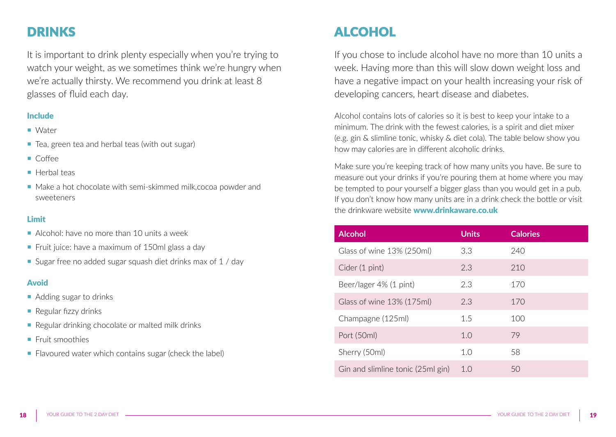## DRINKS

It is important to drink plenty especially when you're trying to watch your weight, as we sometimes think we're hungry when we're actually thirsty. We recommend you drink at least 8 glasses of fluid each day.

### Include

- Water
- Tea, green tea and herbal teas (with out sugar)
- ¡ Coffee
- **E** Herbal teas
- Make a hot chocolate with semi-skimmed milk, cocoa powder and sweeteners

### Limit

- ¡ Alcohol: have no more than 10 units a week
- Fruit juice: have a maximum of 150ml glass a day
- Sugar free no added sugar squash diet drinks max of 1 / day

#### Avoid

- Adding sugar to drinks
- $\blacksquare$  Regular fizzy drinks
- Regular drinking chocolate or malted milk drinks
- **Fruit smoothies**
- Flavoured water which contains sugar (check the label)

## ALCOHOL

If you chose to include alcohol have no more than 10 units a week. Having more than this will slow down weight loss and have a negative impact on your health increasing your risk of developing cancers, heart disease and diabetes.

Alcohol contains lots of calories so it is best to keep your intake to a minimum. The drink with the fewest calories, is a spirit and diet mixer (e.g. gin & slimline tonic, whisky & diet cola). The table below show you how may calories are in different alcoholic drinks.

Make sure you're keeping track of how many units you have. Be sure to measure out your drinks if you're pouring them at home where you may be tempted to pour yourself a bigger glass than you would get in a pub. If you don't know how many units are in a drink check the bottle or visit the drinkware website **www.drinkaware.co.uk** 

| <b>Alcohol</b>                    | <b>Units</b> | <b>Calories</b> |
|-----------------------------------|--------------|-----------------|
| Glass of wine 13% (250ml)         | 3.3          | 240             |
| Cider (1 pint)                    | 2.3          | 210             |
| Beer/lager 4% (1 pint)            | 2.3          | 170             |
| Glass of wine 13% (175ml)         | 2.3          | 170             |
| Champagne (125ml)                 | 15           | 100             |
| Port (50ml)                       | 1.0          | 79              |
| Sherry (50ml)                     | 1.0          | 58              |
| Gin and slimline tonic (25ml gin) | 1.0          | 50              |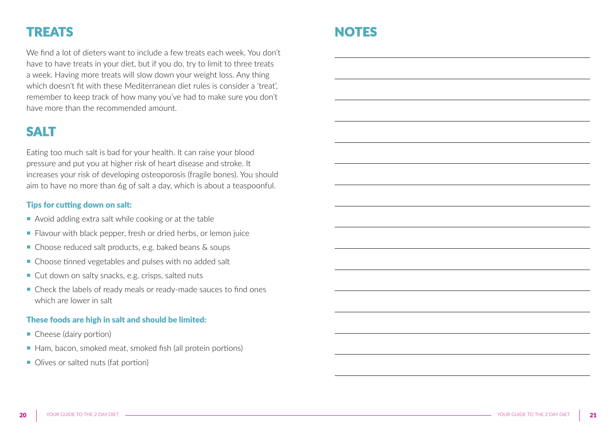### TREATS

We find a lot of dieters want to include a few treats each week. You don't have to have treats in your diet, but if you do, try to limit to three treats a week. Having more treats will slow down your weight loss. Any thing which doesn't fit with these Mediterranean diet rules is consider a 'treat' remember to keep track of how many you've had to make sure you don't have more than the recommended amount.

### SALT

Eating too much salt is bad for your health. It can raise your blood pressure and put you at higher risk of heart disease and stroke. It increases your risk of developing osteoporosis (fragile bones). You should aim to have no more than 6g of salt a day, which is about a teaspoonful.

### Tips for cutting down on salt:

- ¡ Avoid adding extra salt while cooking or at the table
- Flavour with black pepper, fresh or dried herbs, or lemon juice
- Choose reduced salt products, e.g. baked beans & soups
- Choose tinned vegetables and pulses with no added salt
- Cut down on salty snacks, e.g. crisps, salted nuts
- Check the labels of ready meals or ready-made sauces to find ones which are lower in salt

#### These foods are high in salt and should be limited:

- Cheese (dairy portion)
- Ham, bacon, smoked meat, smoked fish (all protein portions)
- Olives or salted nuts (fat portion)

### NOTES